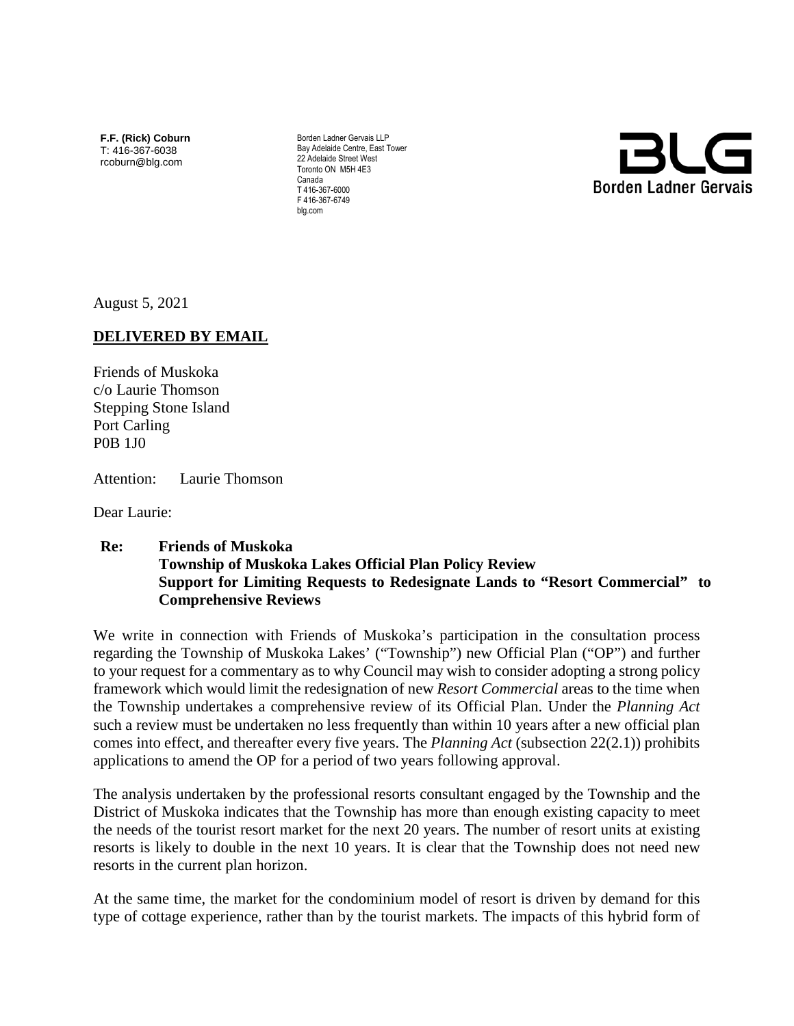**F.F. (Rick) Coburn** T: 416-367-6038 rcoburn@blg.com

Borden Ladner Gervais LLP Bay Adelaide Centre, East Tower 22 Adelaide Street West Toronto ON M5H 4E3 Canada T 416-367-6000 F 416-367-6749 blg.com



August 5, 2021

## **DELIVERED BY EMAIL**

Friends of Muskoka c/o Laurie Thomson Stepping Stone Island Port Carling P0B 1J0

Attention: Laurie Thomson

Dear Laurie:

## **Re: Friends of Muskoka Township of Muskoka Lakes Official Plan Policy Review Support for Limiting Requests to Redesignate Lands to "Resort Commercial" to Comprehensive Reviews**

We write in connection with Friends of Muskoka's participation in the consultation process regarding the Township of Muskoka Lakes' ("Township") new Official Plan ("OP") and further to your request for a commentary as to why Council may wish to consider adopting a strong policy framework which would limit the redesignation of new *Resort Commercial* areas to the time when the Township undertakes a comprehensive review of its Official Plan. Under the *Planning Act* such a review must be undertaken no less frequently than within 10 years after a new official plan comes into effect, and thereafter every five years. The *Planning Act* (subsection 22(2.1)) prohibits applications to amend the OP for a period of two years following approval.

The analysis undertaken by the professional resorts consultant engaged by the Township and the District of Muskoka indicates that the Township has more than enough existing capacity to meet the needs of the tourist resort market for the next 20 years. The number of resort units at existing resorts is likely to double in the next 10 years. It is clear that the Township does not need new resorts in the current plan horizon.

At the same time, the market for the condominium model of resort is driven by demand for this type of cottage experience, rather than by the tourist markets. The impacts of this hybrid form of